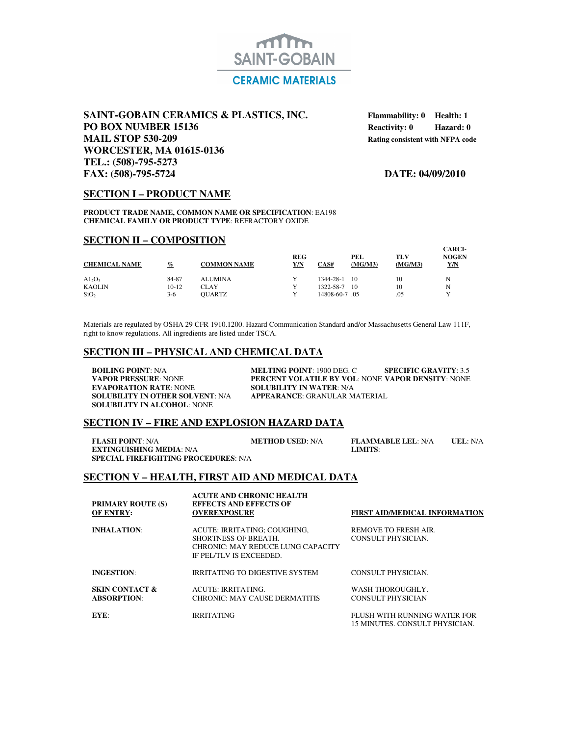

# **SAINT-GOBAIN CERAMICS & PLASTICS, INC.** Flammability: 0 Health: 1 **PO BOX NUMBER 15136 Reactivity: 0 BOX NUMBER 15136 MAIL STOP 530-209 Rating consistent with NFPA code WORCESTER, MA 01615-0136 TEL.: (508)-795-5273 FAX: (508)-795-5724 DATE: 04/09/2010**

## **SECTION I – PRODUCT NAME**

**PRODUCT TRADE NAME, COMMON NAME OR SPECIFICATION**: EA198 **CHEMICAL FAMILY OR PRODUCT TYPE**: REFRACTORY OXIDE

## **SECTION II – COMPOSITION**

| <b>CHEMICAL NAME</b> | $\%$    | <b>COMMON NAME</b> | <b>REG</b><br><u>Y/N</u> | CAS#          | PEL<br>(MG/M3) | TLV<br>(MG/M3) | <b>CARCI-</b><br><b>NOGEN</b><br>Y/N |
|----------------------|---------|--------------------|--------------------------|---------------|----------------|----------------|--------------------------------------|
| $A1_2O_3$            | 84-87   | <b>ALUMINA</b>     |                          | 1344-28-1     | 10             | 10             | N                                    |
| <b>KAOLIN</b>        | $10-12$ | CLAY               | v                        | 1322-58-7     | 10             | 10             | N                                    |
| SiO <sub>2</sub>     | $3-6$   | <b>OUARTZ</b>      |                          | 14808-60-7.05 |                | .05            |                                      |

Materials are regulated by OSHA 29 CFR 1910.1200. Hazard Communication Standard and/or Massachusetts General Law 111F, right to know regulations. All ingredients are listed under TSCA.

# **SECTION III – PHYSICAL AND CHEMICAL DATA**

**SOLUBILITY IN OTHER SOLVENT: N/A SOLUBILITY IN ALCOHOL**: NONE

**BOILING POINT**: N/A **MELTING POINT**: 1900 DEG. C **SPECIFIC GRAVITY**: 3.5<br>**PERCENT VOLATILE BY VOL**: NONE **VAPOR DENSITY**: NONE **VAPOR PRESSURE: NONE PERCENT VOLATILE BY VOL: NONE VAPOR DENSITY: NONE EVAPORATION RATE: NONE SOLUBILITY IN WATER: N/A SOLUBILITY IN WATER: N/A<br><b>APPEARANCE:** GRANULAR MATERIAL

### **SECTION IV – FIRE AND EXPLOSION HAZARD DATA**

**FLASH POINT**: N/A **METHOD USED**: N/A **FLAMMABLE LEL**: N/A **UEL**: N/A **EXTINGUISHING MEDIA**: N/A **METHOD USED**: N/A **LIMITS**: **EXTINGUISHING MEDIA: N/A SPECIAL FIREFIGHTING PROCEDURES**: N/A

## **SECTION V – HEALTH, FIRST AID AND MEDICAL DATA**

| <b>PRIMARY ROUTE (S)</b><br><b>OF ENTRY:</b>    | <b>ACUTE AND CHRONIC HEALTH</b><br><b>EFFECTS AND EFFECTS OF</b><br><b>OVEREXPOSURE</b>                                     | <b>FIRST AID/MEDICAL INFORMATION</b>                           |
|-------------------------------------------------|-----------------------------------------------------------------------------------------------------------------------------|----------------------------------------------------------------|
| <b>INHALATION:</b>                              | ACUTE: IRRITATING: COUGHING.<br><b>SHORTNESS OF BREATH.</b><br>CHRONIC: MAY REDUCE LUNG CAPACITY<br>IF PEL/TLV IS EXCEEDED. | REMOVE TO FRESH AIR.<br>CONSULT PHYSICIAN.                     |
| <b>INGESTION:</b>                               | <b>IRRITATING TO DIGESTIVE SYSTEM</b>                                                                                       | CONSULT PHYSICIAN.                                             |
| <b>SKIN CONTACT &amp;</b><br><b>ABSORPTION:</b> | ACUTE: IRRITATING.<br><b>CHRONIC: MAY CAUSE DERMATITIS</b>                                                                  | WASH THOROUGHLY.<br>CONSULT PHYSICIAN                          |
| EYE:                                            | <b>IRRITATING</b>                                                                                                           | FLUSH WITH RUNNING WATER FOR<br>15 MINUTES. CONSULT PHYSICIAN. |